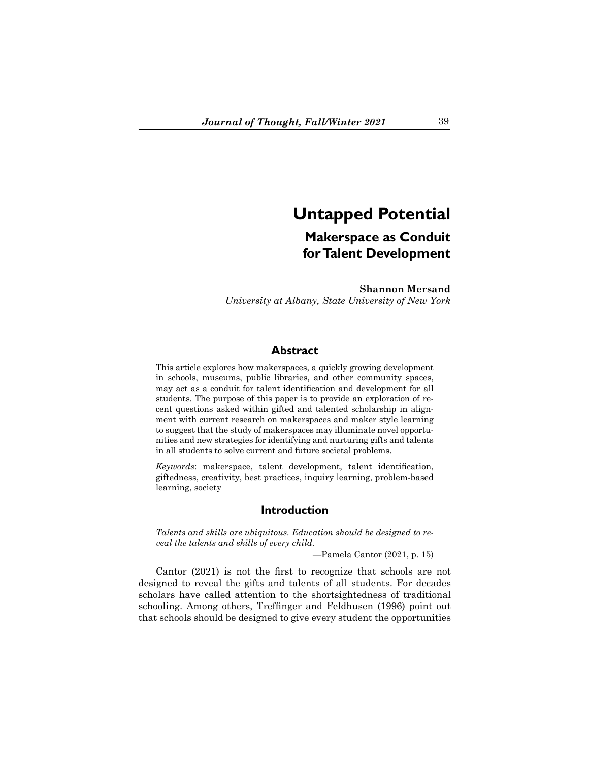# **Untapped Potential**

## **Makerspace as Conduit for Talent Development**

**Shannon Mersand** *University at Albany, State University of New York*

## **Abstract**

This article explores how makerspaces, a quickly growing development in schools, museums, public libraries, and other community spaces, may act as a conduit for talent identification and development for all students. The purpose of this paper is to provide an exploration of recent questions asked within gifted and talented scholarship in alignment with current research on makerspaces and maker style learning to suggest that the study of makerspaces may illuminate novel opportunities and new strategies for identifying and nurturing gifts and talents in all students to solve current and future societal problems.

*Keywords*: makerspace, talent development, talent identification, giftedness, creativity, best practices, inquiry learning, problem-based learning, society

## **Introduction**

*Talents and skills are ubiquitous. Education should be designed to reveal the talents and skills of every child.*

—Pamela Cantor (2021, p. 15)

Cantor (2021) is not the first to recognize that schools are not designed to reveal the gifts and talents of all students. For decades scholars have called attention to the shortsightedness of traditional schooling. Among others, Treffinger and Feldhusen (1996) point out that schools should be designed to give every student the opportunities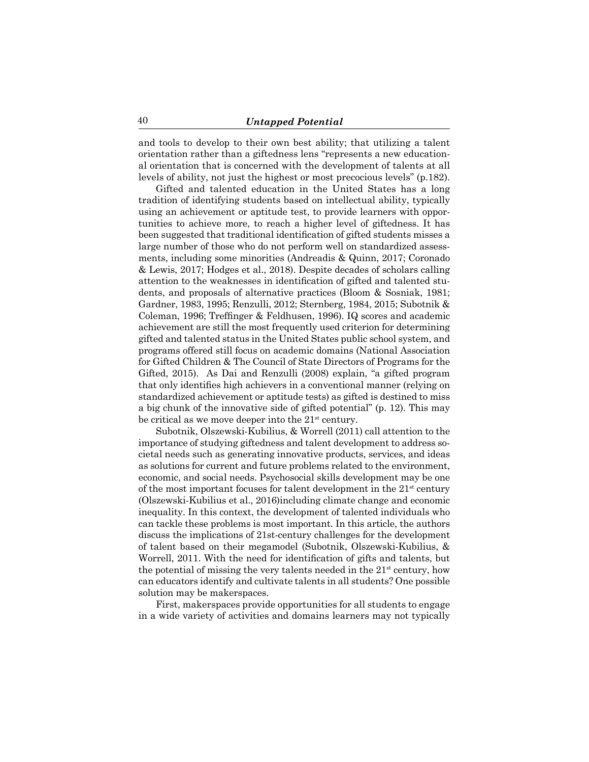and tools to develop to their own best ability; that utilizing a talent orientation rather than a giftedness lens "represents a new educational orientation that is concerned with the development of talents at all levels of ability, not just the highest or most precocious levels" (p.182).

Gifted and talented education in the United States has a long tradition of identifying students based on intellectual ability, typically using an achievement or aptitude test, to provide learners with opportunities to achieve more, to reach a higher level of giftedness. It has been suggested that traditional identification of gifted students misses a large number of those who do not perform well on standardized assessments, including some minorities (Andreadis & Quinn, 2017; Coronado & Lewis, 2017; Hodges et al., 2018). Despite decades of scholars calling attention to the weaknesses in identification of gifted and talented students, and proposals of alternative practices (Bloom & Sosniak, 1981; Gardner, 1983, 1995; Renzulli, 2012; Sternberg, 1984, 2015; Subotnik & Coleman, 1996; Treffinger & Feldhusen, 1996). IQ scores and academic achievement are still the most frequently used criterion for determining gifted and talented status in the United States public school system, and programs offered still focus on academic domains (National Association for Gifted Children & The Council of State Directors of Programs for the Gifted, 2015). As Dai and Renzulli (2008) explain, "a gifted program that only identifies high achievers in a conventional manner (relying on standardized achievement or aptitude tests) as gifted is destined to miss a big chunk of the innovative side of gifted potential" (p. 12). This may be critical as we move deeper into the  $21<sup>st</sup>$  century.

Subotnik, Olszewski-Kubilius, & Worrell (2011) call attention to the importance of studying giftedness and talent development to address societal needs such as generating innovative products, services, and ideas as solutions for current and future problems related to the environment, economic, and social needs. Psychosocial skills development may be one of the most important focuses for talent development in the  $21<sup>st</sup>$  century (Olszewski-Kubilius et al., 2016)including climate change and economic inequality. In this context, the development of talented individuals who can tackle these problems is most important. In this article, the authors discuss the implications of 21st-century challenges for the development of talent based on their megamodel (Subotnik, Olszewski-Kubilius, & Worrell, 2011. With the need for identification of gifts and talents, but the potential of missing the very talents needed in the  $21<sup>st</sup>$  century, how can educators identify and cultivate talents in all students? One possible solution may be makerspaces.

First, makerspaces provide opportunities for all students to engage in a wide variety of activities and domains learners may not typically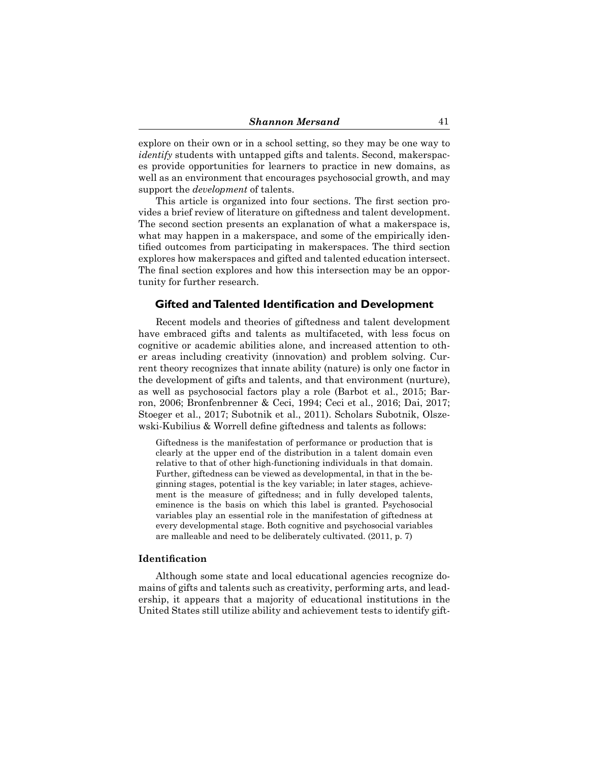explore on their own or in a school setting, so they may be one way to *identify* students with untapped gifts and talents. Second, makerspaces provide opportunities for learners to practice in new domains, as well as an environment that encourages psychosocial growth, and may support the *development* of talents.

This article is organized into four sections. The first section provides a brief review of literature on giftedness and talent development. The second section presents an explanation of what a makerspace is, what may happen in a makerspace, and some of the empirically identified outcomes from participating in makerspaces. The third section explores how makerspaces and gifted and talented education intersect. The final section explores and how this intersection may be an opportunity for further research.

## **Gifted and Talented Identification and Development**

Recent models and theories of giftedness and talent development have embraced gifts and talents as multifaceted, with less focus on cognitive or academic abilities alone, and increased attention to other areas including creativity (innovation) and problem solving. Current theory recognizes that innate ability (nature) is only one factor in the development of gifts and talents, and that environment (nurture), as well as psychosocial factors play a role (Barbot et al., 2015; Barron, 2006; Bronfenbrenner & Ceci, 1994; Ceci et al., 2016; Dai, 2017; Stoeger et al., 2017; Subotnik et al., 2011). Scholars Subotnik, Olszewski-Kubilius & Worrell define giftedness and talents as follows:

Giftedness is the manifestation of performance or production that is clearly at the upper end of the distribution in a talent domain even relative to that of other high-functioning individuals in that domain. Further, giftedness can be viewed as developmental, in that in the beginning stages, potential is the key variable; in later stages, achievement is the measure of giftedness; and in fully developed talents, eminence is the basis on which this label is granted. Psychosocial variables play an essential role in the manifestation of giftedness at every developmental stage. Both cognitive and psychosocial variables are malleable and need to be deliberately cultivated. (2011, p. 7)

#### **Identification**

Although some state and local educational agencies recognize domains of gifts and talents such as creativity, performing arts, and leadership, it appears that a majority of educational institutions in the United States still utilize ability and achievement tests to identify gift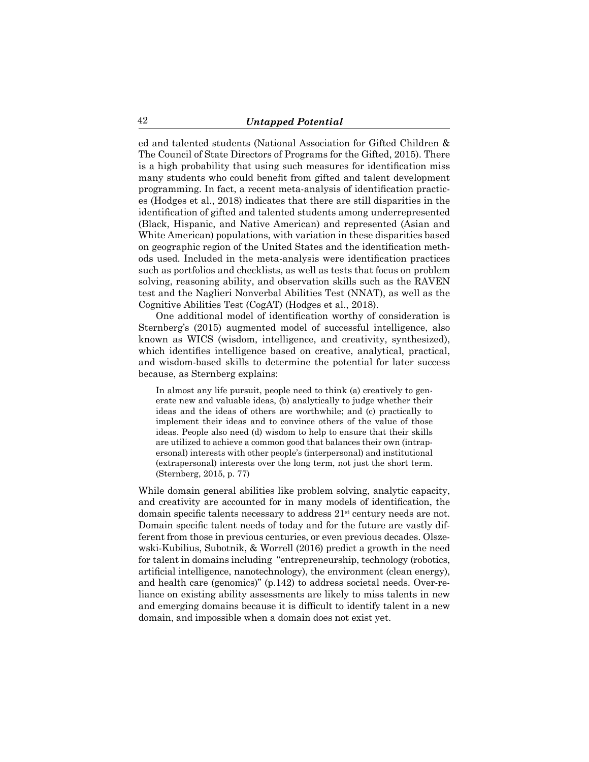ed and talented students (National Association for Gifted Children & The Council of State Directors of Programs for the Gifted, 2015). There is a high probability that using such measures for identification miss many students who could benefit from gifted and talent development programming. In fact, a recent meta-analysis of identification practices (Hodges et al., 2018) indicates that there are still disparities in the identification of gifted and talented students among underrepresented (Black, Hispanic, and Native American) and represented (Asian and White American) populations, with variation in these disparities based on geographic region of the United States and the identification methods used. Included in the meta-analysis were identification practices such as portfolios and checklists, as well as tests that focus on problem solving, reasoning ability, and observation skills such as the RAVEN test and the Naglieri Nonverbal Abilities Test (NNAT), as well as the Cognitive Abilities Test (CogAT) (Hodges et al., 2018).

One additional model of identification worthy of consideration is Sternberg's (2015) augmented model of successful intelligence, also known as WICS (wisdom, intelligence, and creativity, synthesized), which identifies intelligence based on creative, analytical, practical, and wisdom-based skills to determine the potential for later success because, as Sternberg explains:

In almost any life pursuit, people need to think (a) creatively to generate new and valuable ideas, (b) analytically to judge whether their ideas and the ideas of others are worthwhile; and (c) practically to implement their ideas and to convince others of the value of those ideas. People also need (d) wisdom to help to ensure that their skills are utilized to achieve a common good that balances their own (intrapersonal) interests with other people's (interpersonal) and institutional (extrapersonal) interests over the long term, not just the short term. (Sternberg, 2015, p. 77)

While domain general abilities like problem solving, analytic capacity, and creativity are accounted for in many models of identification, the domain specific talents necessary to address  $21<sup>st</sup>$  century needs are not. Domain specific talent needs of today and for the future are vastly different from those in previous centuries, or even previous decades. Olszewski-Kubilius, Subotnik, & Worrell (2016) predict a growth in the need for talent in domains including "entrepreneurship, technology (robotics, artificial intelligence, nanotechnology), the environment (clean energy), and health care (genomics)" (p.142) to address societal needs. Over-reliance on existing ability assessments are likely to miss talents in new and emerging domains because it is difficult to identify talent in a new domain, and impossible when a domain does not exist yet.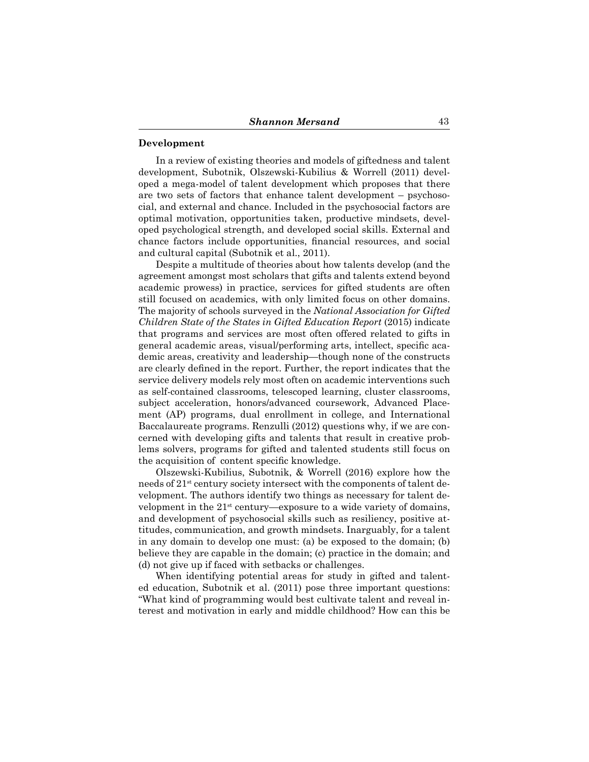#### **Development**

In a review of existing theories and models of giftedness and talent development, Subotnik, Olszewski-Kubilius & Worrell (2011) developed a mega-model of talent development which proposes that there are two sets of factors that enhance talent development – psychosocial, and external and chance. Included in the psychosocial factors are optimal motivation, opportunities taken, productive mindsets, developed psychological strength, and developed social skills. External and chance factors include opportunities, financial resources, and social and cultural capital (Subotnik et al., 2011).

Despite a multitude of theories about how talents develop (and the agreement amongst most scholars that gifts and talents extend beyond academic prowess) in practice, services for gifted students are often still focused on academics, with only limited focus on other domains. The majority of schools surveyed in the *National Association for Gifted Children State of the States in Gifted Education Report* (2015) indicate that programs and services are most often offered related to gifts in general academic areas, visual/performing arts, intellect, specific academic areas, creativity and leadership—though none of the constructs are clearly defined in the report. Further, the report indicates that the service delivery models rely most often on academic interventions such as self-contained classrooms, telescoped learning, cluster classrooms, subject acceleration, honors/advanced coursework, Advanced Placement (AP) programs, dual enrollment in college, and International Baccalaureate programs. Renzulli (2012) questions why, if we are concerned with developing gifts and talents that result in creative problems solvers, programs for gifted and talented students still focus on the acquisition of content specific knowledge.

Olszewski-Kubilius, Subotnik, & Worrell (2016) explore how the needs of 21st century society intersect with the components of talent development. The authors identify two things as necessary for talent development in the  $21<sup>st</sup>$  century—exposure to a wide variety of domains, and development of psychosocial skills such as resiliency, positive attitudes, communication, and growth mindsets. Inarguably, for a talent in any domain to develop one must: (a) be exposed to the domain; (b) believe they are capable in the domain; (c) practice in the domain; and (d) not give up if faced with setbacks or challenges.

When identifying potential areas for study in gifted and talented education, Subotnik et al. (2011) pose three important questions: "What kind of programming would best cultivate talent and reveal interest and motivation in early and middle childhood? How can this be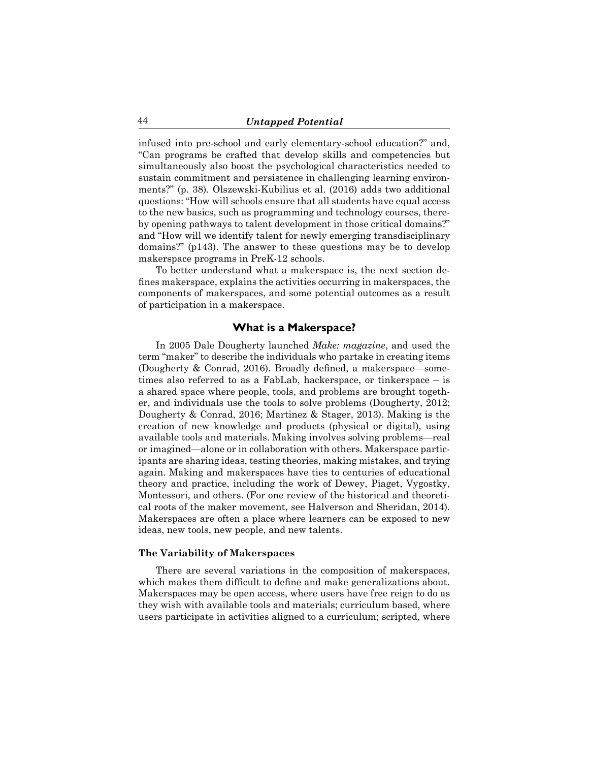infused into pre-school and early elementary-school education?" and, "Can programs be crafted that develop skills and competencies but simultaneously also boost the psychological characteristics needed to sustain commitment and persistence in challenging learning environments?" (p. 38). Olszewski-Kubilius et al. (2016) adds two additional questions: "How will schools ensure that all students have equal access to the new basics, such as programming and technology courses, thereby opening pathways to talent development in those critical domains?" and "How will we identify talent for newly emerging transdisciplinary domains?" (p143). The answer to these questions may be to develop makerspace programs in PreK-12 schools.

To better understand what a makerspace is, the next section defines makerspace, explains the activities occurring in makerspaces, the components of makerspaces, and some potential outcomes as a result of participation in a makerspace.

## **What is a Makerspace?**

In 2005 Dale Dougherty launched *Make: magazine*, and used the term "maker" to describe the individuals who partake in creating items (Dougherty & Conrad, 2016). Broadly defined, a makerspace—sometimes also referred to as a FabLab, hackerspace, or tinkerspace – is a shared space where people, tools, and problems are brought together, and individuals use the tools to solve problems (Dougherty, 2012; Dougherty & Conrad, 2016; Martinez & Stager, 2013). Making is the creation of new knowledge and products (physical or digital), using available tools and materials. Making involves solving problems—real or imagined—alone or in collaboration with others. Makerspace participants are sharing ideas, testing theories, making mistakes, and trying again. Making and makerspaces have ties to centuries of educational theory and practice, including the work of Dewey, Piaget, Vygostky, Montessori, and others. (For one review of the historical and theoretical roots of the maker movement, see Halverson and Sheridan, 2014). Makerspaces are often a place where learners can be exposed to new ideas, new tools, new people, and new talents.

#### **The Variability of Makerspaces**

There are several variations in the composition of makerspaces, which makes them difficult to define and make generalizations about. Makerspaces may be open access, where users have free reign to do as they wish with available tools and materials; curriculum based, where users participate in activities aligned to a curriculum; scripted, where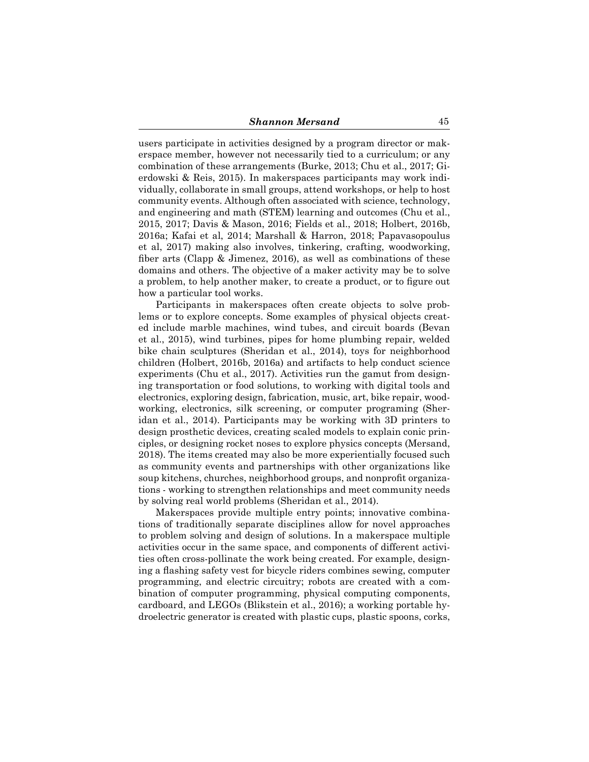users participate in activities designed by a program director or makerspace member, however not necessarily tied to a curriculum; or any combination of these arrangements (Burke, 2013; Chu et al., 2017; Gierdowski & Reis, 2015). In makerspaces participants may work individually, collaborate in small groups, attend workshops, or help to host community events. Although often associated with science, technology, and engineering and math (STEM) learning and outcomes (Chu et al., 2015, 2017; Davis & Mason, 2016; Fields et al., 2018; Holbert, 2016b, 2016a; Kafai et al, 2014; Marshall & Harron, 2018; Papavasopoulus et al, 2017) making also involves, tinkering, crafting, woodworking, fiber arts (Clapp & Jimenez, 2016), as well as combinations of these domains and others. The objective of a maker activity may be to solve a problem, to help another maker, to create a product, or to figure out how a particular tool works.

Participants in makerspaces often create objects to solve problems or to explore concepts. Some examples of physical objects created include marble machines, wind tubes, and circuit boards (Bevan et al., 2015), wind turbines, pipes for home plumbing repair, welded bike chain sculptures (Sheridan et al., 2014), toys for neighborhood children (Holbert, 2016b, 2016a) and artifacts to help conduct science experiments (Chu et al., 2017). Activities run the gamut from designing transportation or food solutions, to working with digital tools and electronics, exploring design, fabrication, music, art, bike repair, woodworking, electronics, silk screening, or computer programing (Sheridan et al., 2014). Participants may be working with 3D printers to design prosthetic devices, creating scaled models to explain conic principles, or designing rocket noses to explore physics concepts (Mersand, 2018). The items created may also be more experientially focused such as community events and partnerships with other organizations like soup kitchens, churches, neighborhood groups, and nonprofit organizations - working to strengthen relationships and meet community needs by solving real world problems (Sheridan et al., 2014).

Makerspaces provide multiple entry points; innovative combinations of traditionally separate disciplines allow for novel approaches to problem solving and design of solutions. In a makerspace multiple activities occur in the same space, and components of different activities often cross-pollinate the work being created. For example, designing a flashing safety vest for bicycle riders combines sewing, computer programming, and electric circuitry; robots are created with a combination of computer programming, physical computing components, cardboard, and LEGOs (Blikstein et al., 2016); a working portable hydroelectric generator is created with plastic cups, plastic spoons, corks,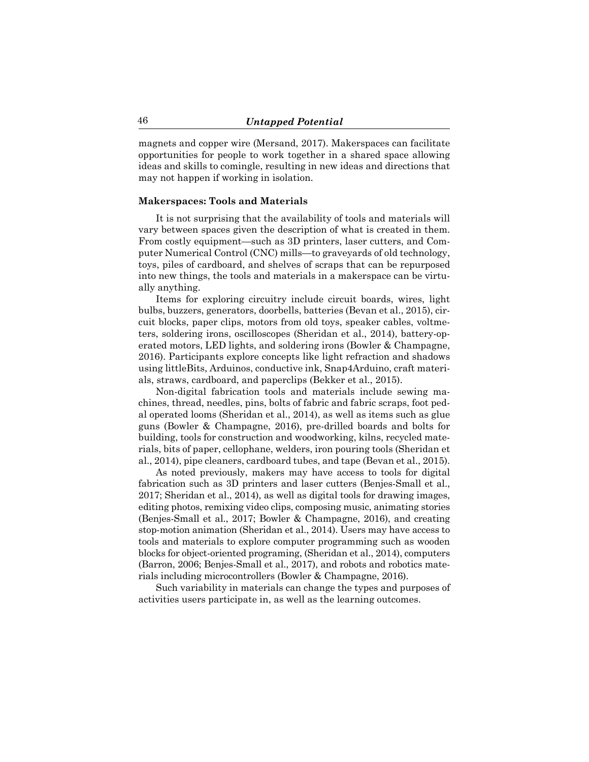magnets and copper wire (Mersand, 2017). Makerspaces can facilitate opportunities for people to work together in a shared space allowing ideas and skills to comingle, resulting in new ideas and directions that may not happen if working in isolation.

#### **Makerspaces: Tools and Materials**

It is not surprising that the availability of tools and materials will vary between spaces given the description of what is created in them. From costly equipment—such as 3D printers, laser cutters, and Computer Numerical Control (CNC) mills—to graveyards of old technology, toys, piles of cardboard, and shelves of scraps that can be repurposed into new things, the tools and materials in a makerspace can be virtually anything.

Items for exploring circuitry include circuit boards, wires, light bulbs, buzzers, generators, doorbells, batteries (Bevan et al., 2015), circuit blocks, paper clips, motors from old toys, speaker cables, voltmeters, soldering irons, oscilloscopes (Sheridan et al., 2014), battery-operated motors, LED lights, and soldering irons (Bowler & Champagne, 2016). Participants explore concepts like light refraction and shadows using littleBits, Arduinos, conductive ink, Snap4Arduino, craft materials, straws, cardboard, and paperclips (Bekker et al., 2015).

Non-digital fabrication tools and materials include sewing machines, thread, needles, pins, bolts of fabric and fabric scraps, foot pedal operated looms (Sheridan et al., 2014), as well as items such as glue guns (Bowler & Champagne, 2016), pre-drilled boards and bolts for building, tools for construction and woodworking, kilns, recycled materials, bits of paper, cellophane, welders, iron pouring tools (Sheridan et al., 2014), pipe cleaners, cardboard tubes, and tape (Bevan et al., 2015).

As noted previously, makers may have access to tools for digital fabrication such as 3D printers and laser cutters (Benjes-Small et al., 2017; Sheridan et al., 2014), as well as digital tools for drawing images, editing photos, remixing video clips, composing music, animating stories (Benjes-Small et al., 2017; Bowler & Champagne, 2016), and creating stop-motion animation (Sheridan et al., 2014). Users may have access to tools and materials to explore computer programming such as wooden blocks for object-oriented programing, (Sheridan et al., 2014), computers (Barron, 2006; Benjes-Small et al., 2017), and robots and robotics materials including microcontrollers (Bowler & Champagne, 2016).

Such variability in materials can change the types and purposes of activities users participate in, as well as the learning outcomes.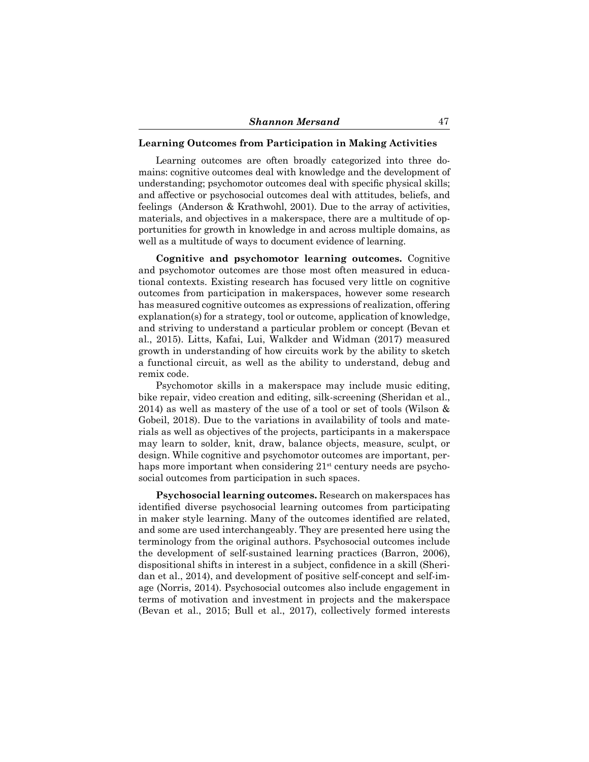## **Learning Outcomes from Participation in Making Activities**

Learning outcomes are often broadly categorized into three domains: cognitive outcomes deal with knowledge and the development of understanding; psychomotor outcomes deal with specific physical skills; and affective or psychosocial outcomes deal with attitudes, beliefs, and feelings (Anderson & Krathwohl, 2001). Due to the array of activities, materials, and objectives in a makerspace, there are a multitude of opportunities for growth in knowledge in and across multiple domains, as well as a multitude of ways to document evidence of learning.

**Cognitive and psychomotor learning outcomes.** Cognitive and psychomotor outcomes are those most often measured in educational contexts. Existing research has focused very little on cognitive outcomes from participation in makerspaces, however some research has measured cognitive outcomes as expressions of realization, offering explanation(s) for a strategy, tool or outcome, application of knowledge, and striving to understand a particular problem or concept (Bevan et al., 2015). Litts, Kafai, Lui, Walkder and Widman (2017) measured growth in understanding of how circuits work by the ability to sketch a functional circuit, as well as the ability to understand, debug and remix code.

Psychomotor skills in a makerspace may include music editing, bike repair, video creation and editing, silk-screening (Sheridan et al., 2014) as well as mastery of the use of a tool or set of tools (Wilson & Gobeil, 2018). Due to the variations in availability of tools and materials as well as objectives of the projects, participants in a makerspace may learn to solder, knit, draw, balance objects, measure, sculpt, or design. While cognitive and psychomotor outcomes are important, perhaps more important when considering  $21<sup>st</sup>$  century needs are psychosocial outcomes from participation in such spaces.

**Psychosocial learning outcomes.** Research on makerspaces has identified diverse psychosocial learning outcomes from participating in maker style learning. Many of the outcomes identified are related, and some are used interchangeably. They are presented here using the terminology from the original authors. Psychosocial outcomes include the development of self-sustained learning practices (Barron, 2006), dispositional shifts in interest in a subject, confidence in a skill (Sheridan et al., 2014), and development of positive self-concept and self-image (Norris, 2014). Psychosocial outcomes also include engagement in terms of motivation and investment in projects and the makerspace (Bevan et al., 2015; Bull et al., 2017), collectively formed interests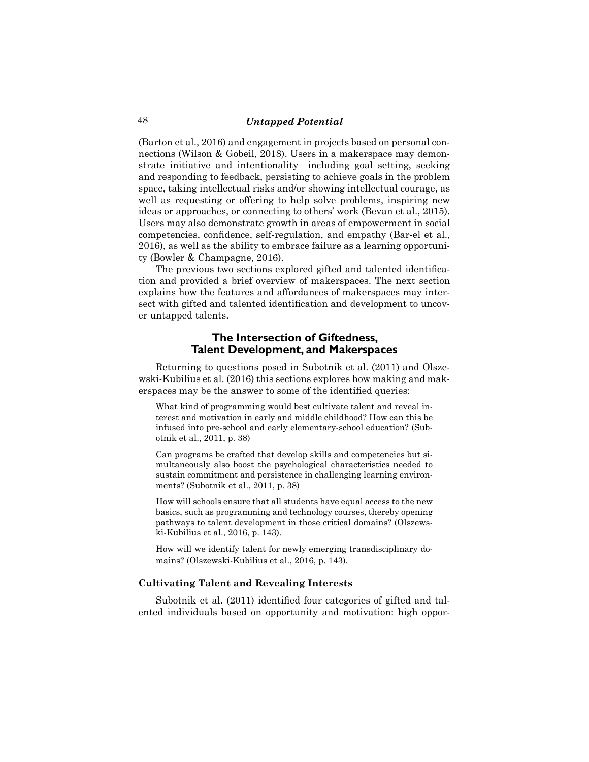(Barton et al., 2016) and engagement in projects based on personal connections (Wilson & Gobeil, 2018). Users in a makerspace may demonstrate initiative and intentionality—including goal setting, seeking and responding to feedback, persisting to achieve goals in the problem space, taking intellectual risks and/or showing intellectual courage, as well as requesting or offering to help solve problems, inspiring new ideas or approaches, or connecting to others' work (Bevan et al., 2015). Users may also demonstrate growth in areas of empowerment in social competencies, confidence, self-regulation, and empathy (Bar-el et al., 2016), as well as the ability to embrace failure as a learning opportunity (Bowler & Champagne, 2016).

The previous two sections explored gifted and talented identification and provided a brief overview of makerspaces. The next section explains how the features and affordances of makerspaces may intersect with gifted and talented identification and development to uncover untapped talents.

## **The Intersection of Giftedness, Talent Development, and Makerspaces**

Returning to questions posed in Subotnik et al. (2011) and Olszewski-Kubilius et al. (2016) this sections explores how making and makerspaces may be the answer to some of the identified queries:

What kind of programming would best cultivate talent and reveal interest and motivation in early and middle childhood? How can this be infused into pre-school and early elementary-school education? (Subotnik et al., 2011, p. 38)

Can programs be crafted that develop skills and competencies but simultaneously also boost the psychological characteristics needed to sustain commitment and persistence in challenging learning environments? (Subotnik et al., 2011, p. 38)

How will schools ensure that all students have equal access to the new basics, such as programming and technology courses, thereby opening pathways to talent development in those critical domains? (Olszewski-Kubilius et al., 2016, p. 143).

How will we identify talent for newly emerging transdisciplinary domains? (Olszewski-Kubilius et al., 2016, p. 143).

#### **Cultivating Talent and Revealing Interests**

Subotnik et al. (2011) identified four categories of gifted and talented individuals based on opportunity and motivation: high oppor-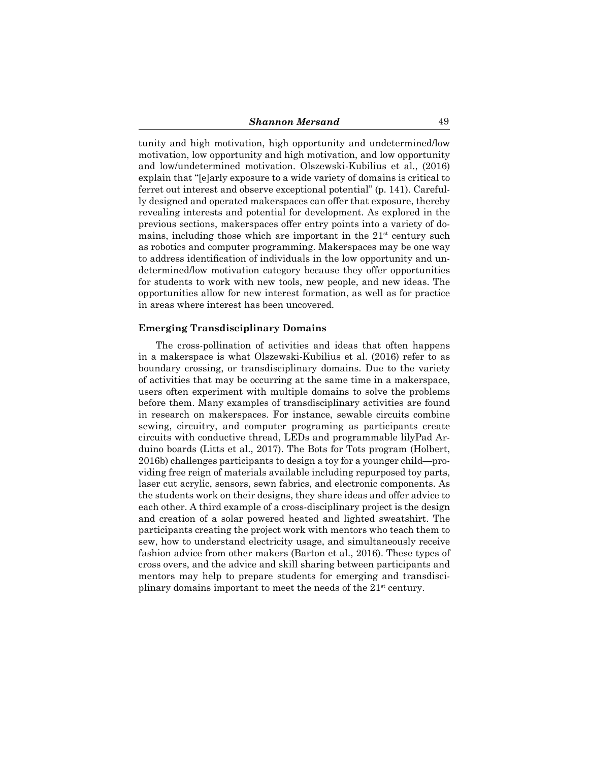tunity and high motivation, high opportunity and undetermined/low motivation, low opportunity and high motivation, and low opportunity and low/undetermined motivation. Olszewski-Kubilius et al., (2016) explain that "[e]arly exposure to a wide variety of domains is critical to ferret out interest and observe exceptional potential" (p. 141). Carefully designed and operated makerspaces can offer that exposure, thereby revealing interests and potential for development. As explored in the previous sections, makerspaces offer entry points into a variety of domains, including those which are important in the  $21<sup>st</sup>$  century such as robotics and computer programming. Makerspaces may be one way to address identification of individuals in the low opportunity and undetermined/low motivation category because they offer opportunities for students to work with new tools, new people, and new ideas. The opportunities allow for new interest formation, as well as for practice in areas where interest has been uncovered.

#### **Emerging Transdisciplinary Domains**

The cross-pollination of activities and ideas that often happens in a makerspace is what Olszewski-Kubilius et al. (2016) refer to as boundary crossing, or transdisciplinary domains. Due to the variety of activities that may be occurring at the same time in a makerspace, users often experiment with multiple domains to solve the problems before them. Many examples of transdisciplinary activities are found in research on makerspaces. For instance, sewable circuits combine sewing, circuitry, and computer programing as participants create circuits with conductive thread, LEDs and programmable lilyPad Arduino boards (Litts et al., 2017). The Bots for Tots program (Holbert, 2016b) challenges participants to design a toy for a younger child—providing free reign of materials available including repurposed toy parts, laser cut acrylic, sensors, sewn fabrics, and electronic components. As the students work on their designs, they share ideas and offer advice to each other. A third example of a cross-disciplinary project is the design and creation of a solar powered heated and lighted sweatshirt. The participants creating the project work with mentors who teach them to sew, how to understand electricity usage, and simultaneously receive fashion advice from other makers (Barton et al., 2016). These types of cross overs, and the advice and skill sharing between participants and mentors may help to prepare students for emerging and transdisciplinary domains important to meet the needs of the 21st century.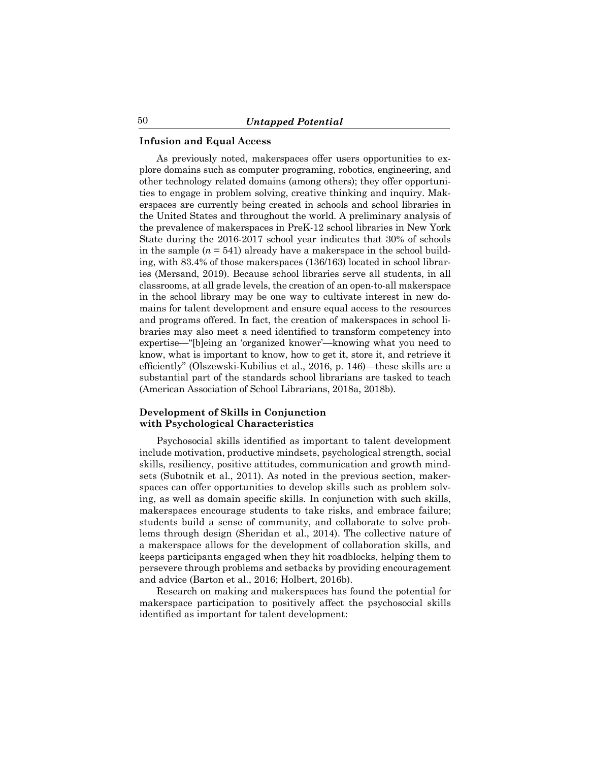### **Infusion and Equal Access**

As previously noted, makerspaces offer users opportunities to explore domains such as computer programing, robotics, engineering, and other technology related domains (among others); they offer opportunities to engage in problem solving, creative thinking and inquiry. Makerspaces are currently being created in schools and school libraries in the United States and throughout the world. A preliminary analysis of the prevalence of makerspaces in PreK-12 school libraries in New York State during the 2016-2017 school year indicates that 30% of schools in the sample  $(n = 541)$  already have a makerspace in the school building, with 83.4% of those makerspaces (136/163) located in school libraries (Mersand, 2019). Because school libraries serve all students, in all classrooms, at all grade levels, the creation of an open-to-all makerspace in the school library may be one way to cultivate interest in new domains for talent development and ensure equal access to the resources and programs offered. In fact, the creation of makerspaces in school libraries may also meet a need identified to transform competency into expertise—"[b]eing an 'organized knower'—knowing what you need to know, what is important to know, how to get it, store it, and retrieve it efficiently" (Olszewski-Kubilius et al., 2016, p. 146)—these skills are a substantial part of the standards school librarians are tasked to teach (American Association of School Librarians, 2018a, 2018b).

## **Development of Skills in Conjunction with Psychological Characteristics**

Psychosocial skills identified as important to talent development include motivation, productive mindsets, psychological strength, social skills, resiliency, positive attitudes, communication and growth mindsets (Subotnik et al., 2011). As noted in the previous section, makerspaces can offer opportunities to develop skills such as problem solving, as well as domain specific skills. In conjunction with such skills, makerspaces encourage students to take risks, and embrace failure; students build a sense of community, and collaborate to solve problems through design (Sheridan et al., 2014). The collective nature of a makerspace allows for the development of collaboration skills, and keeps participants engaged when they hit roadblocks, helping them to persevere through problems and setbacks by providing encouragement and advice (Barton et al., 2016; Holbert, 2016b).

Research on making and makerspaces has found the potential for makerspace participation to positively affect the psychosocial skills identified as important for talent development: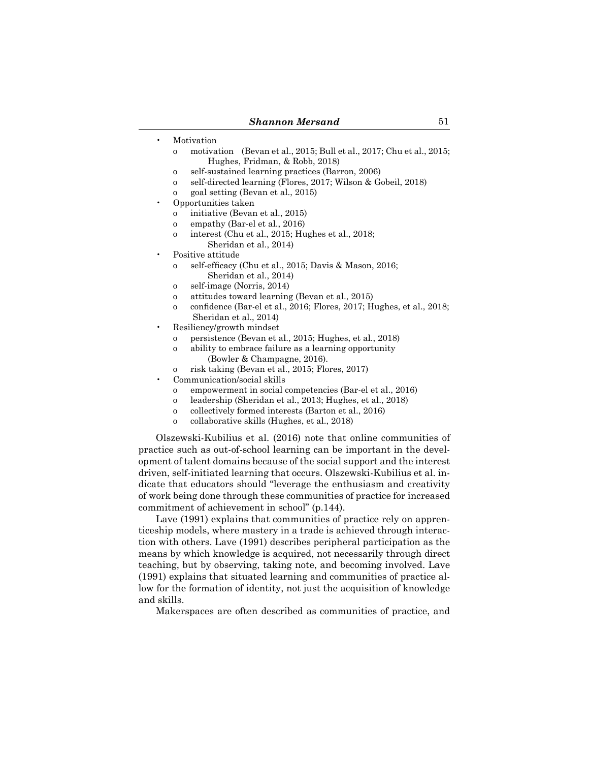- **Motivation** 
	- o motivation (Bevan et al., 2015; Bull et al., 2017; Chu et al., 2015; Hughes, Fridman, & Robb, 2018)
	- o self-sustained learning practices (Barron, 2006)
	- o self-directed learning (Flores, 2017; Wilson & Gobeil, 2018)
	- o goal setting (Bevan et al., 2015)
- Opportunities taken
	- o initiative (Bevan et al., 2015)
	- o empathy (Bar-el et al., 2016)
	- o interest (Chu et al., 2015; Hughes et al., 2018; Sheridan et al., 2014)
- Positive attitude
	- o self-efficacy (Chu et al., 2015; Davis & Mason, 2016; Sheridan et al., 2014)
	- o self-image (Norris, 2014)
	- o attitudes toward learning (Bevan et al., 2015)
	- o confidence (Bar-el et al., 2016; Flores, 2017; Hughes, et al., 2018; Sheridan et al., 2014)
- Resiliency/growth mindset
	- o persistence (Bevan et al., 2015; Hughes, et al., 2018)
	- o ability to embrace failure as a learning opportunity (Bowler & Champagne, 2016).
	- risk taking (Bevan et al., 2015; Flores, 2017)
- Communication/social skills
	- o empowerment in social competencies (Bar-el et al., 2016)
	- o leadership (Sheridan et al., 2013; Hughes, et al., 2018)
	- o collectively formed interests (Barton et al., 2016)
	- o collaborative skills (Hughes, et al., 2018)

Olszewski-Kubilius et al. (2016) note that online communities of practice such as out-of-school learning can be important in the development of talent domains because of the social support and the interest driven, self-initiated learning that occurs. Olszewski-Kubilius et al. indicate that educators should "leverage the enthusiasm and creativity of work being done through these communities of practice for increased commitment of achievement in school" (p.144).

Lave (1991) explains that communities of practice rely on apprenticeship models, where mastery in a trade is achieved through interaction with others. Lave (1991) describes peripheral participation as the means by which knowledge is acquired, not necessarily through direct teaching, but by observing, taking note, and becoming involved. Lave (1991) explains that situated learning and communities of practice allow for the formation of identity, not just the acquisition of knowledge and skills.

Makerspaces are often described as communities of practice, and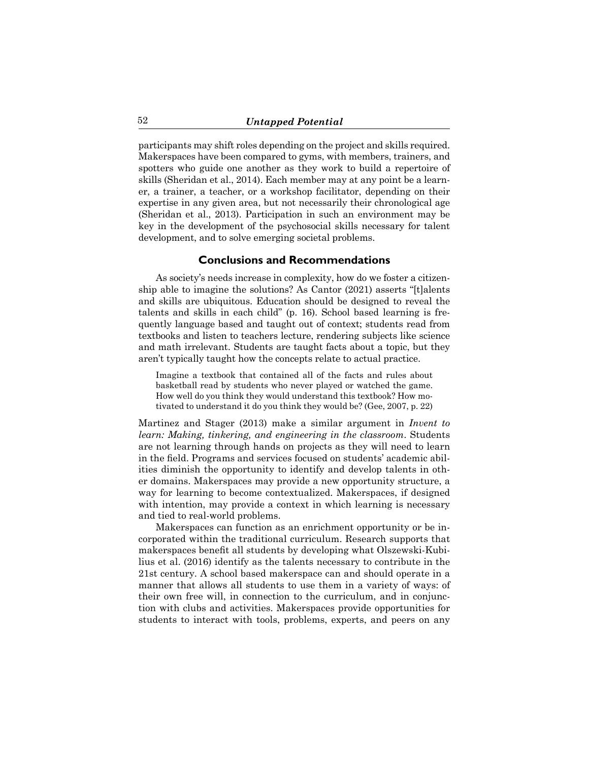participants may shift roles depending on the project and skills required. Makerspaces have been compared to gyms, with members, trainers, and spotters who guide one another as they work to build a repertoire of skills (Sheridan et al., 2014). Each member may at any point be a learner, a trainer, a teacher, or a workshop facilitator, depending on their expertise in any given area, but not necessarily their chronological age (Sheridan et al., 2013). Participation in such an environment may be key in the development of the psychosocial skills necessary for talent development, and to solve emerging societal problems.

#### **Conclusions and Recommendations**

As society's needs increase in complexity, how do we foster a citizenship able to imagine the solutions? As Cantor (2021) asserts "[t]alents and skills are ubiquitous. Education should be designed to reveal the talents and skills in each child" (p. 16). School based learning is frequently language based and taught out of context; students read from textbooks and listen to teachers lecture, rendering subjects like science and math irrelevant. Students are taught facts about a topic, but they aren't typically taught how the concepts relate to actual practice.

Imagine a textbook that contained all of the facts and rules about basketball read by students who never played or watched the game. How well do you think they would understand this textbook? How motivated to understand it do you think they would be? (Gee, 2007, p. 22)

Martinez and Stager (2013) make a similar argument in *Invent to learn: Making, tinkering, and engineering in the classroom*. Students are not learning through hands on projects as they will need to learn in the field. Programs and services focused on students' academic abilities diminish the opportunity to identify and develop talents in other domains. Makerspaces may provide a new opportunity structure, a way for learning to become contextualized. Makerspaces, if designed with intention, may provide a context in which learning is necessary and tied to real-world problems.

Makerspaces can function as an enrichment opportunity or be incorporated within the traditional curriculum. Research supports that makerspaces benefit all students by developing what Olszewski-Kubilius et al. (2016) identify as the talents necessary to contribute in the 21st century. A school based makerspace can and should operate in a manner that allows all students to use them in a variety of ways: of their own free will, in connection to the curriculum, and in conjunction with clubs and activities. Makerspaces provide opportunities for students to interact with tools, problems, experts, and peers on any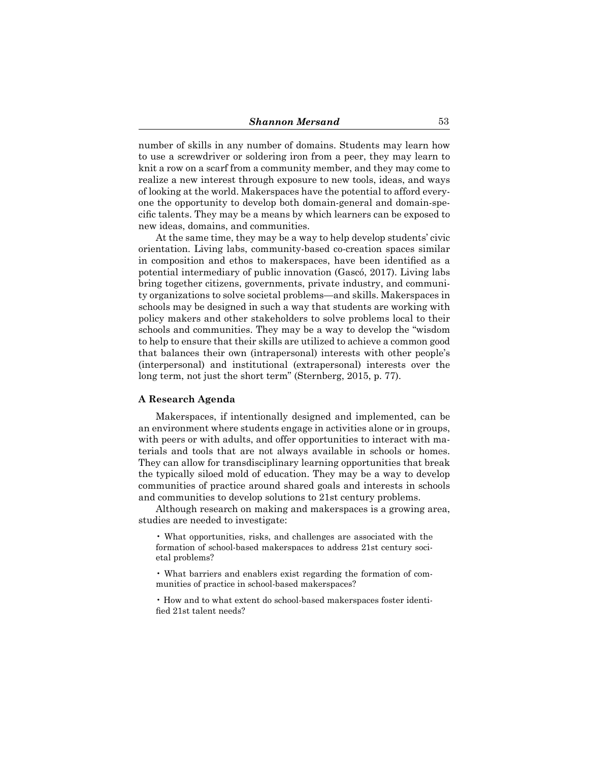number of skills in any number of domains. Students may learn how to use a screwdriver or soldering iron from a peer, they may learn to knit a row on a scarf from a community member, and they may come to realize a new interest through exposure to new tools, ideas, and ways of looking at the world. Makerspaces have the potential to afford everyone the opportunity to develop both domain-general and domain-specific talents. They may be a means by which learners can be exposed to new ideas, domains, and communities.

At the same time, they may be a way to help develop students' civic orientation. Living labs, community-based co-creation spaces similar in composition and ethos to makerspaces, have been identified as a potential intermediary of public innovation (Gascó, 2017). Living labs bring together citizens, governments, private industry, and community organizations to solve societal problems—and skills. Makerspaces in schools may be designed in such a way that students are working with policy makers and other stakeholders to solve problems local to their schools and communities. They may be a way to develop the "wisdom to help to ensure that their skills are utilized to achieve a common good that balances their own (intrapersonal) interests with other people's (interpersonal) and institutional (extrapersonal) interests over the long term, not just the short term" (Sternberg, 2015, p. 77).

#### **A Research Agenda**

Makerspaces, if intentionally designed and implemented, can be an environment where students engage in activities alone or in groups, with peers or with adults, and offer opportunities to interact with materials and tools that are not always available in schools or homes. They can allow for transdisciplinary learning opportunities that break the typically siloed mold of education. They may be a way to develop communities of practice around shared goals and interests in schools and communities to develop solutions to 21st century problems.

Although research on making and makerspaces is a growing area, studies are needed to investigate:

• What opportunities, risks, and challenges are associated with the formation of school-based makerspaces to address 21st century societal problems?

• What barriers and enablers exist regarding the formation of communities of practice in school-based makerspaces?

• How and to what extent do school-based makerspaces foster identified 21st talent needs?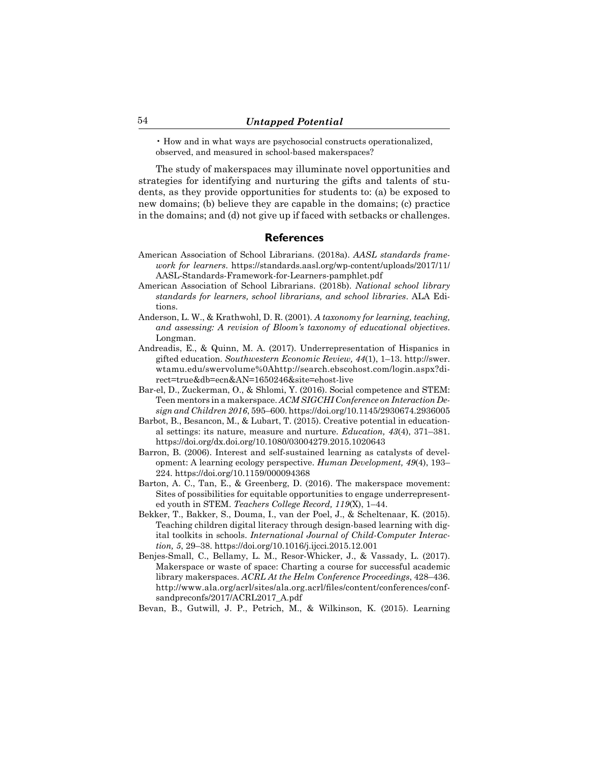• How and in what ways are psychosocial constructs operationalized, observed, and measured in school-based makerspaces?

The study of makerspaces may illuminate novel opportunities and strategies for identifying and nurturing the gifts and talents of students, as they provide opportunities for students to: (a) be exposed to new domains; (b) believe they are capable in the domains; (c) practice in the domains; and (d) not give up if faced with setbacks or challenges.

#### **References**

- American Association of School Librarians. (2018a). *AASL standards framework for learners*. https://standards.aasl.org/wp-content/uploads/2017/11/ AASL-Standards-Framework-for-Learners-pamphlet.pdf
- American Association of School Librarians. (2018b). *National school library standards for learners, school librarians, and school libraries*. ALA Editions.
- Anderson, L. W., & Krathwohl, D. R. (2001). *A taxonomy for learning, teaching, and assessing: A revision of Bloom's taxonomy of educational objectives*. Longman.
- Andreadis, E., & Quinn, M. A. (2017). Underrepresentation of Hispanics in gifted education. *Southwestern Economic Review, 44*(1), 1–13. http://swer. wtamu.edu/swervolume%0Ahttp://search.ebscohost.com/login.aspx?direct=true&db=ecn&AN=1650246&site=ehost-live
- Bar-el, D., Zuckerman, O., & Shlomi, Y. (2016). Social competence and STEM: Teen mentors in a makerspace. *ACM SIGCHI Conference on Interaction Design and Children 2016*, 595–600. https://doi.org/10.1145/2930674.2936005
- Barbot, B., Besancon, M., & Lubart, T. (2015). Creative potential in educational settings: its nature, measure and nurture. *Education, 43*(4), 371–381. https://doi.org/dx.doi.org/10.1080/03004279.2015.1020643
- Barron, B. (2006). Interest and self-sustained learning as catalysts of development: A learning ecology perspective. *Human Development, 49*(4), 193– 224. https://doi.org/10.1159/000094368
- Barton, A. C., Tan, E., & Greenberg, D. (2016). The makerspace movement: Sites of possibilities for equitable opportunities to engage underrepresented youth in STEM. *Teachers College Record, 119*(X), 1–44.
- Bekker, T., Bakker, S., Douma, I., van der Poel, J., & Scheltenaar, K. (2015). Teaching children digital literacy through design-based learning with digital toolkits in schools. *International Journal of Child-Computer Interaction, 5*, 29–38. https://doi.org/10.1016/j.ijcci.2015.12.001
- Benjes-Small, C., Bellamy, L. M., Resor-Whicker, J., & Vassady, L. (2017). Makerspace or waste of space: Charting a course for successful academic library makerspaces. *ACRL At the Helm Conference Proceedings*, 428–436. http://www.ala.org/acrl/sites/ala.org.acrl/files/content/conferences/confsandpreconfs/2017/ACRL2017\_A.pdf
- Bevan, B., Gutwill, J. P., Petrich, M., & Wilkinson, K. (2015). Learning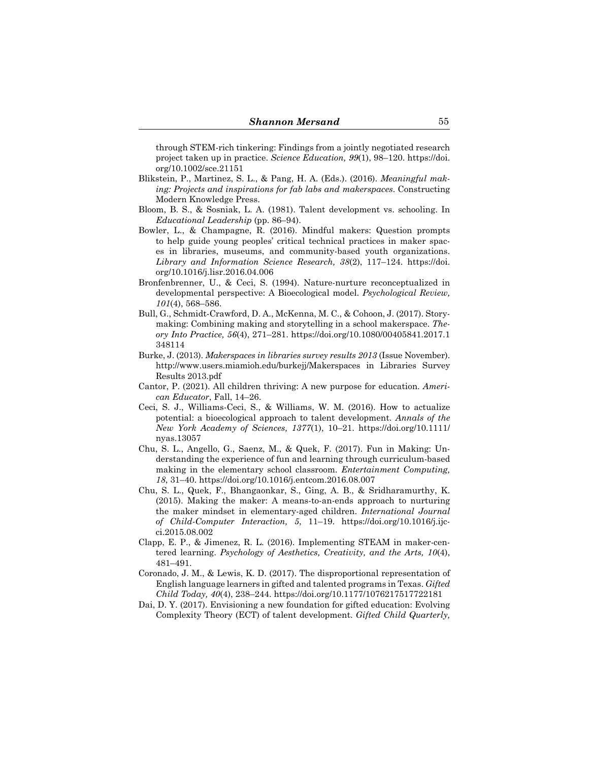through STEM-rich tinkering: Findings from a jointly negotiated research project taken up in practice. *Science Education, 99*(1), 98–120. https://doi. org/10.1002/sce.21151

- Blikstein, P., Martinez, S. L., & Pang, H. A. (Eds.). (2016). *Meaningful making: Projects and inspirations for fab labs and makerspaces*. Constructing Modern Knowledge Press.
- Bloom, B. S., & Sosniak, L. A. (1981). Talent development vs. schooling. In *Educational Leadership* (pp. 86–94).
- Bowler, L., & Champagne, R. (2016). Mindful makers: Question prompts to help guide young peoples' critical technical practices in maker spaces in libraries, museums, and community-based youth organizations. *Library and Information Science Research, 38*(2), 117–124. https://doi. org/10.1016/j.lisr.2016.04.006
- Bronfenbrenner, U., & Ceci, S. (1994). Nature-nurture reconceptualized in developmental perspective: A Bioecological model. *Psychological Review, 101*(4), 568–586.
- Bull, G., Schmidt-Crawford, D. A., McKenna, M. C., & Cohoon, J. (2017). Storymaking: Combining making and storytelling in a school makerspace. *Theory Into Practice, 56*(4), 271–281. https://doi.org/10.1080/00405841.2017.1 348114
- Burke, J. (2013). *Makerspaces in libraries survey results 2013* (Issue November). http://www.users.miamioh.edu/burkejj/Makerspaces in Libraries Survey Results 2013.pdf
- Cantor, P. (2021). All children thriving: A new purpose for education. *American Educator*, Fall, 14–26.
- Ceci, S. J., Williams-Ceci, S., & Williams, W. M. (2016). How to actualize potential: a bioecological approach to talent development. *Annals of the New York Academy of Sciences, 1377*(1), 10–21. https://doi.org/10.1111/ nyas.13057
- Chu, S. L., Angello, G., Saenz, M., & Quek, F. (2017). Fun in Making: Understanding the experience of fun and learning through curriculum-based making in the elementary school classroom. *Entertainment Computing, 18*, 31–40. https://doi.org/10.1016/j.entcom.2016.08.007
- Chu, S. L., Quek, F., Bhangaonkar, S., Ging, A. B., & Sridharamurthy, K. (2015). Making the maker: A means-to-an-ends approach to nurturing the maker mindset in elementary-aged children. *International Journal of Child-Computer Interaction, 5*, 11–19. https://doi.org/10.1016/j.ijcci.2015.08.002
- Clapp, E. P., & Jimenez, R. L. (2016). Implementing STEAM in maker-centered learning. *Psychology of Aesthetics, Creativity, and the Arts, 10*(4), 481–491.
- Coronado, J. M., & Lewis, K. D. (2017). The disproportional representation of English language learners in gifted and talented programs in Texas. *Gifted Child Today, 40*(4), 238–244. https://doi.org/10.1177/1076217517722181
- Dai, D. Y. (2017). Envisioning a new foundation for gifted education: Evolving Complexity Theory (ECT) of talent development. *Gifted Child Quarterly,*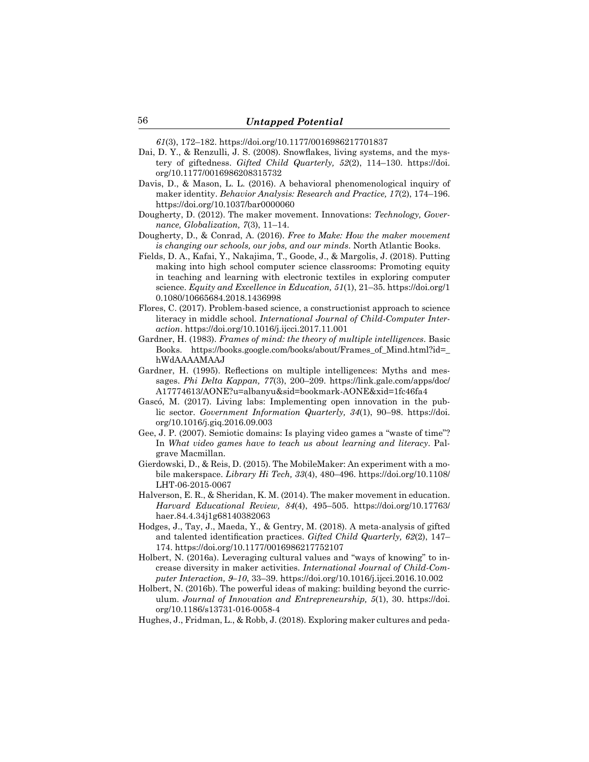*61*(3), 172–182. https://doi.org/10.1177/0016986217701837

- Dai, D. Y., & Renzulli, J. S. (2008). Snowflakes, living systems, and the mystery of giftedness. *Gifted Child Quarterly, 52*(2), 114–130. https://doi. org/10.1177/0016986208315732
- Davis, D., & Mason, L. L. (2016). A behavioral phenomenological inquiry of maker identity. *Behavior Analysis: Research and Practice, 17*(2), 174–196. https://doi.org/10.1037/bar0000060
- Dougherty, D. (2012). The maker movement. Innovations: *Technology, Governance, Globalization, 7*(3), 11–14.
- Dougherty, D., & Conrad, A. (2016). *Free to Make: How the maker movement is changing our schools, our jobs, and our minds*. North Atlantic Books.
- Fields, D. A., Kafai, Y., Nakajima, T., Goode, J., & Margolis, J. (2018). Putting making into high school computer science classrooms: Promoting equity in teaching and learning with electronic textiles in exploring computer science. *Equity and Excellence in Education, 51*(1), 21–35. https://doi.org/1 0.1080/10665684.2018.1436998
- Flores, C. (2017). Problem-based science, a constructionist approach to science literacy in middle school. *International Journal of Child-Computer Interaction*. https://doi.org/10.1016/j.ijcci.2017.11.001
- Gardner, H. (1983). *Frames of mind: the theory of multiple intelligences*. Basic Books. https://books.google.com/books/about/Frames\_of\_Mind.html?id=\_ hWdAAAAMAAJ
- Gardner, H. (1995). Reflections on multiple intelligences: Myths and messages. *Phi Delta Kappan, 77*(3), 200–209. https://link.gale.com/apps/doc/ A17774613/AONE?u=albanyu&sid=bookmark-AONE&xid=1fc46fa4
- Gascó, M. (2017). Living labs: Implementing open innovation in the public sector. *Government Information Quarterly, 34*(1), 90–98. https://doi. org/10.1016/j.giq.2016.09.003
- Gee, J. P. (2007). Semiotic domains: Is playing video games a "waste of time"? In *What video games have to teach us about learning and literacy*. Palgrave Macmillan.
- Gierdowski, D., & Reis, D. (2015). The MobileMaker: An experiment with a mobile makerspace. *Library Hi Tech, 33*(4), 480–496. https://doi.org/10.1108/ LHT-06-2015-0067
- Halverson, E. R., & Sheridan, K. M. (2014). The maker movement in education. *Harvard Educational Review, 84*(4), 495–505. https://doi.org/10.17763/ haer.84.4.34j1g68140382063
- Hodges, J., Tay, J., Maeda, Y., & Gentry, M. (2018). A meta-analysis of gifted and talented identification practices. *Gifted Child Quarterly, 62*(2), 147– 174. https://doi.org/10.1177/0016986217752107
- Holbert, N. (2016a). Leveraging cultural values and "ways of knowing" to increase diversity in maker activities. *International Journal of Child-Computer Interaction, 9–10*, 33–39. https://doi.org/10.1016/j.ijcci.2016.10.002
- Holbert, N. (2016b). The powerful ideas of making: building beyond the curriculum. *Journal of Innovation and Entrepreneurship, 5*(1), 30. https://doi. org/10.1186/s13731-016-0058-4
- Hughes, J., Fridman, L., & Robb, J. (2018). Exploring maker cultures and peda-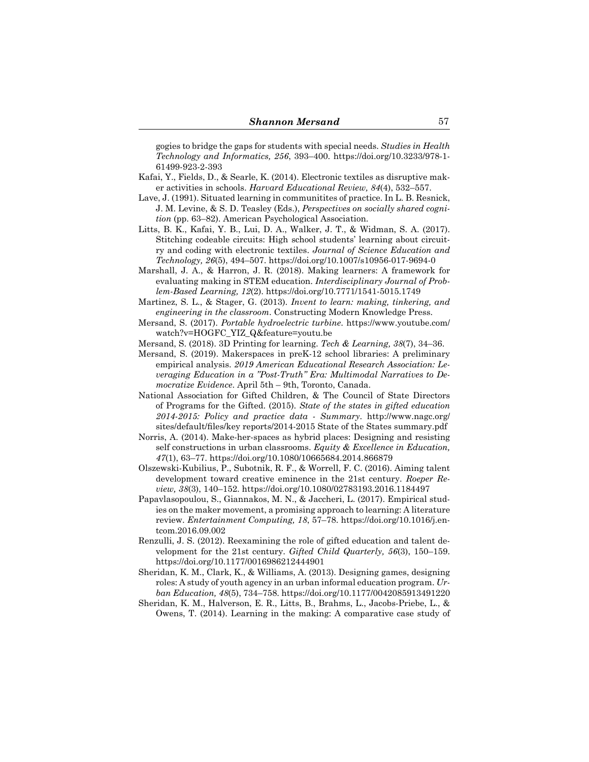gogies to bridge the gaps for students with special needs. *Studies in Health Technology and Informatics, 256*, 393–400. https://doi.org/10.3233/978-1- 61499-923-2-393

- Kafai, Y., Fields, D., & Searle, K. (2014). Electronic textiles as disruptive maker activities in schools. *Harvard Educational Review, 84*(4), 532–557.
- Lave, J. (1991). Situated learning in communitites of practice. In L. B. Resnick, J. M. Levine, & S. D. Teasley (Eds.), *Perspectives on socially shared cognition* (pp. 63–82). American Psychological Association.
- Litts, B. K., Kafai, Y. B., Lui, D. A., Walker, J. T., & Widman, S. A. (2017). Stitching codeable circuits: High school students' learning about circuitry and coding with electronic textiles. *Journal of Science Education and Technology, 26*(5), 494–507. https://doi.org/10.1007/s10956-017-9694-0
- Marshall, J. A., & Harron, J. R. (2018). Making learners: A framework for evaluating making in STEM education. *Interdisciplinary Journal of Problem-Based Learning, 12*(2). https://doi.org/10.7771/1541-5015.1749
- Martinez, S. L., & Stager, G. (2013). *Invent to learn: making, tinkering, and engineering in the classroom*. Constructing Modern Knowledge Press.
- Mersand, S. (2017). *Portable hydroelectric turbine*. https://www.youtube.com/ watch?v=HOGFC\_YIZ\_Q&feature=youtu.be
- Mersand, S. (2018). 3D Printing for learning. *Tech & Learning, 38*(7), 34–36.
- Mersand, S. (2019). Makerspaces in preK-12 school libraries: A preliminary empirical analysis. *2019 American Educational Research Association: Leveraging Education in a "Post-Truth" Era: Multimodal Narratives to Democratize Evidence*. April 5th – 9th, Toronto, Canada.
- National Association for Gifted Children, & The Council of State Directors of Programs for the Gifted. (2015). *State of the states in gifted education 2014-2015: Policy and practice data - Summary*. http://www.nagc.org/ sites/default/files/key reports/2014-2015 State of the States summary.pdf
- Norris, A. (2014). Make-her-spaces as hybrid places: Designing and resisting self constructions in urban classrooms. *Equity & Excellence in Education, 47*(1), 63–77. https://doi.org/10.1080/10665684.2014.866879
- Olszewski-Kubilius, P., Subotnik, R. F., & Worrell, F. C. (2016). Aiming talent development toward creative eminence in the 21st century. *Roeper Review, 38*(3), 140–152. https://doi.org/10.1080/02783193.2016.1184497
- Papavlasopoulou, S., Giannakos, M. N., & Jaccheri, L. (2017). Empirical studies on the maker movement, a promising approach to learning: A literature review. *Entertainment Computing, 18*, 57–78. https://doi.org/10.1016/j.entcom.2016.09.002
- Renzulli, J. S. (2012). Reexamining the role of gifted education and talent development for the 21st century. *Gifted Child Quarterly, 56*(3), 150–159. https://doi.org/10.1177/0016986212444901
- Sheridan, K. M., Clark, K., & Williams, A. (2013). Designing games, designing roles: A study of youth agency in an urban informal education program. *Urban Education, 48*(5), 734–758. https://doi.org/10.1177/0042085913491220
- Sheridan, K. M., Halverson, E. R., Litts, B., Brahms, L., Jacobs-Priebe, L., & Owens, T. (2014). Learning in the making: A comparative case study of